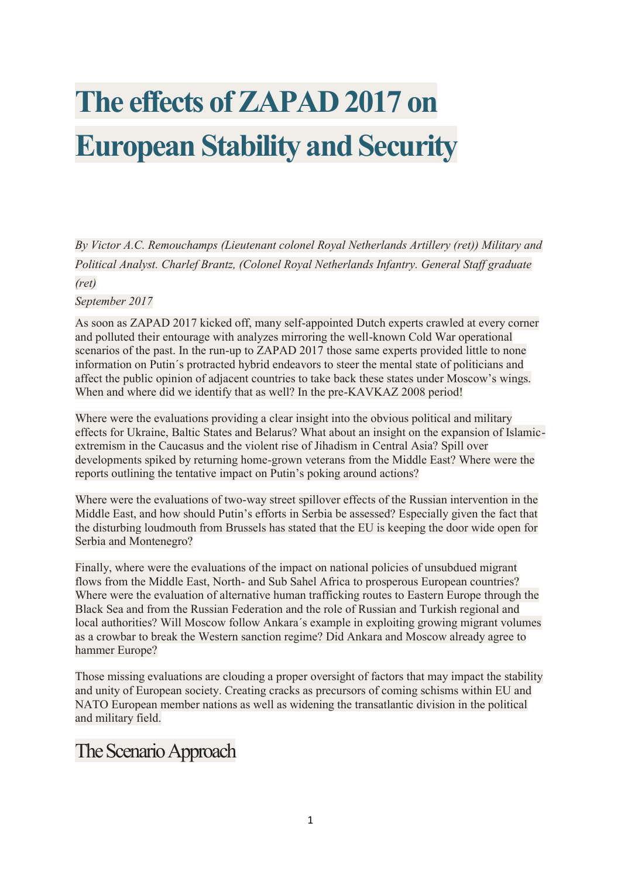# **The effects of ZAPAD 2017 on European Stability and Security**

*By Victor A.C. Remouchamps (Lieutenant colonel Royal Netherlands Artillery (ret)) Military and Political Analyst. Charlef Brantz, (Colonel Royal Netherlands Infantry. General Staff graduate (ret)*

#### *September 2017*

As soon as ZAPAD 2017 kicked off, many self-appointed Dutch experts crawled at every corner and polluted their entourage with analyzes mirroring the well-known Cold War operational scenarios of the past. In the run-up to ZAPAD 2017 those same experts provided little to none information on Putin´s protracted hybrid endeavors to steer the mental state of politicians and affect the public opinion of adjacent countries to take back these states under Moscow's wings. When and where did we identify that as well? In the pre-KAVKAZ 2008 period!

Where were the evaluations providing a clear insight into the obvious political and military effects for Ukraine, Baltic States and Belarus? What about an insight on the expansion of Islamicextremism in the Caucasus and the violent rise of Jihadism in Central Asia? Spill over developments spiked by returning home-grown veterans from the Middle East? Where were the reports outlining the tentative impact on Putin's poking around actions?

Where were the evaluations of two-way street spillover effects of the Russian intervention in the Middle East, and how should Putin's efforts in Serbia be assessed? Especially given the fact that the disturbing loudmouth from Brussels has stated that the EU is keeping the door wide open for Serbia and Montenegro?

Finally, where were the evaluations of the impact on national policies of unsubdued migrant flows from the Middle East, North- and Sub Sahel Africa to prosperous European countries? Where were the evaluation of alternative human trafficking routes to Eastern Europe through the Black Sea and from the Russian Federation and the role of Russian and Turkish regional and local authorities? Will Moscow follow Ankara´s example in exploiting growing migrant volumes as a crowbar to break the Western sanction regime? Did Ankara and Moscow already agree to hammer Europe?

Those missing evaluations are clouding a proper oversight of factors that may impact the stability and unity of European society. Creating cracks as precursors of coming schisms within EU and NATO European member nations as well as widening the transatlantic division in the political and military field.

## The Scenario Approach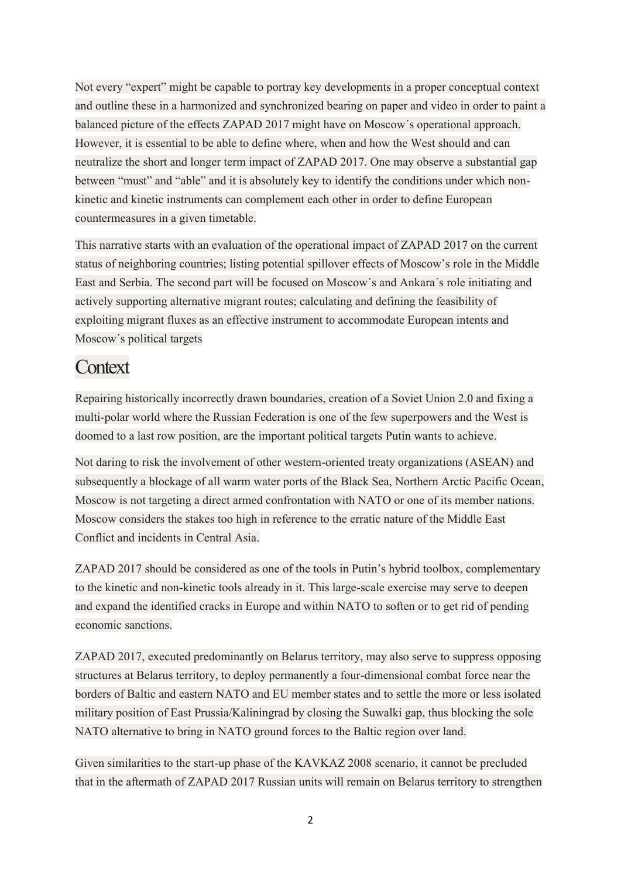Not every "expert" might be capable to portray key developments in a proper conceptual context and outline these in a harmonized and synchronized bearing on paper and video in order to paint a balanced picture of the effects ZAPAD 2017 might have on Moscow´s operational approach. However, it is essential to be able to define where, when and how the West should and can neutralize the short and longer term impact of ZAPAD 2017. One may observe a substantial gap between "must" and "able" and it is absolutely key to identify the conditions under which nonkinetic and kinetic instruments can complement each other in order to define European countermeasures in a given timetable.

This narrative starts with an evaluation of the operational impact of ZAPAD 2017 on the current status of neighboring countries; listing potential spillover effects of Moscow's role in the Middle East and Serbia. The second part will be focused on Moscow´s and Ankara´s role initiating and actively supporting alternative migrant routes; calculating and defining the feasibility of exploiting migrant fluxes as an effective instrument to accommodate European intents and Moscow´s political targets

### **Context**

Repairing historically incorrectly drawn boundaries, creation of a Soviet Union 2.0 and fixing a multi-polar world where the Russian Federation is one of the few superpowers and the West is doomed to a last row position, are the important political targets Putin wants to achieve.

Not daring to risk the involvement of other western-oriented treaty organizations (ASEAN) and subsequently a blockage of all warm water ports of the Black Sea, Northern Arctic Pacific Ocean, Moscow is not targeting a direct armed confrontation with NATO or one of its member nations. Moscow considers the stakes too high in reference to the erratic nature of the Middle East Conflict and incidents in Central Asia.

ZAPAD 2017 should be considered as one of the tools in Putin's hybrid toolbox, complementary to the kinetic and non-kinetic tools already in it. This large-scale exercise may serve to deepen and expand the identified cracks in Europe and within NATO to soften or to get rid of pending economic sanctions.

ZAPAD 2017, executed predominantly on Belarus territory, may also serve to suppress opposing structures at Belarus territory, to deploy permanently a four-dimensional combat force near the borders of Baltic and eastern NATO and EU member states and to settle the more or less isolated military position of East Prussia/Kaliningrad by closing the Suwalki gap, thus blocking the sole NATO alternative to bring in NATO ground forces to the Baltic region over land.

Given similarities to the start-up phase of the KAVKAZ 2008 scenario, it cannot be precluded that in the aftermath of ZAPAD 2017 Russian units will remain on Belarus territory to strengthen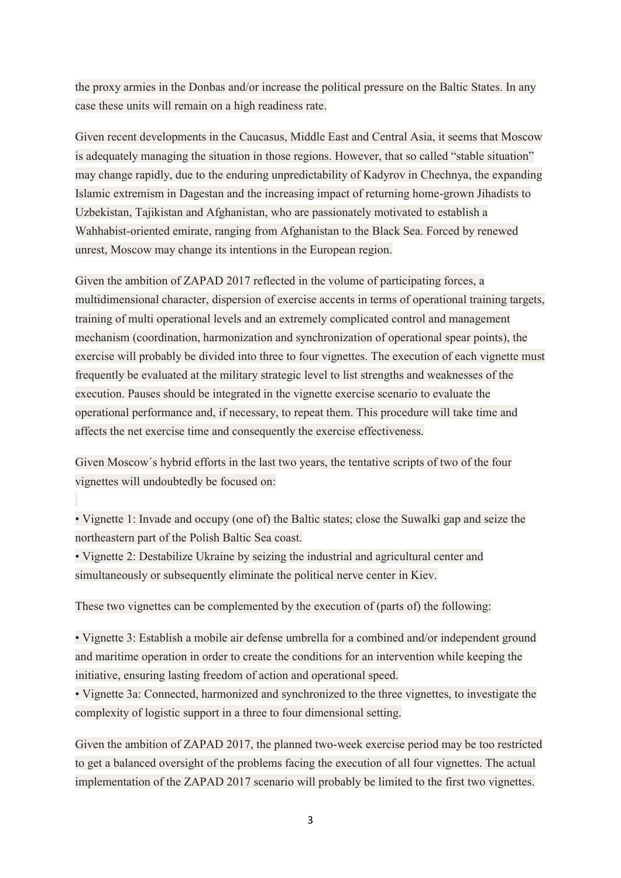the proxy armies in the Donbas and/or increase the political pressure on the Baltic States. In any case these units will remain on a high readiness rate.

Given recent developments in the Caucasus, Middle East and Central Asia, it seems that Moscow is adequately managing the situation in those regions. However, that so called "stable situation" may change rapidly, due to the enduring unpredictability of Kadyrov in Chechnya, the expanding Islamic extremism in Dagestan and the increasing impact of returning home-grown Jihadists to Uzbekistan, Tajikistan and Afghanistan, who are passionately motivated to establish a Wahhabist-oriented emirate, ranging from Afghanistan to the Black Sea. Forced by renewed unrest, Moscow may change its intentions in the European region.

Given the ambition of ZAPAD 2017 reflected in the volume of participating forces, a multidimensional character, dispersion of exercise accents in terms of operational training targets, training of multi operational levels and an extremely complicated control and management mechanism (coordination, harmonization and synchronization of operational spear points), the exercise will probably be divided into three to four vignettes. The execution of each vignette must frequently be evaluated at the military strategic level to list strengths and weaknesses of the execution. Pauses should be integrated in the vignette exercise scenario to evaluate the operational performance and, if necessary, to repeat them. This procedure will take time and affects the net exercise time and consequently the exercise effectiveness.

Given Moscow´s hybrid efforts in the last two years, the tentative scripts of two of the four vignettes will undoubtedly be focused on:

• Vignette 1: Invade and occupy (one of) the Baltic states; close the Suwalki gap and seize the northeastern part of the Polish Baltic Sea coast.

• Vignette 2: Destabilize Ukraine by seizing the industrial and agricultural center and simultaneously or subsequently eliminate the political nerve center in Kiev.

These two vignettes can be complemented by the execution of (parts of) the following:

• Vignette 3: Establish a mobile air defense umbrella for a combined and/or independent ground and maritime operation in order to create the conditions for an intervention while keeping the initiative, ensuring lasting freedom of action and operational speed.

• Vignette 3a: Connected, harmonized and synchronized to the three vignettes, to investigate the complexity of logistic support in a three to four dimensional setting.

Given the ambition of ZAPAD 2017, the planned two-week exercise period may be too restricted to get a balanced oversight of the problems facing the execution of all four vignettes. The actual implementation of the ZAPAD 2017 scenario will probably be limited to the first two vignettes.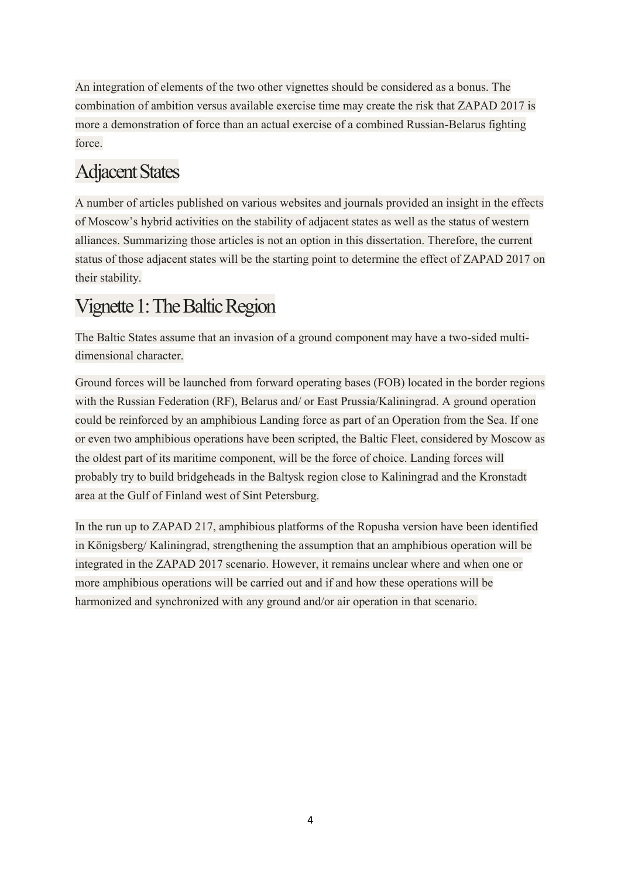An integration of elements of the two other vignettes should be considered as a bonus. The combination of ambition versus available exercise time may create the risk that ZAPAD 2017 is more a demonstration of force than an actual exercise of a combined Russian-Belarus fighting force.

# Adjacent States

A number of articles published on various websites and journals provided an insight in the effects of Moscow's hybrid activities on the stability of adjacent states as well as the status of western alliances. Summarizing those articles is not an option in this dissertation. Therefore, the current status of those adjacent states will be the starting point to determine the effect of ZAPAD 2017 on their stability.

## Vignette 1: The Baltic Region

The Baltic States assume that an invasion of a ground component may have a two-sided multidimensional character.

Ground forces will be launched from forward operating bases (FOB) located in the border regions with the Russian Federation (RF), Belarus and/ or East Prussia/Kaliningrad. A ground operation could be reinforced by an amphibious Landing force as part of an Operation from the Sea. If one or even two amphibious operations have been scripted, the Baltic Fleet, considered by Moscow as the oldest part of its maritime component, will be the force of choice. Landing forces will probably try to build bridgeheads in the Baltysk region close to Kaliningrad and the Kronstadt area at the Gulf of Finland west of Sint Petersburg.

In the run up to ZAPAD 217, amphibious platforms of the Ropusha version have been identified in Königsberg/ Kaliningrad, strengthening the assumption that an amphibious operation will be integrated in the ZAPAD 2017 scenario. However, it remains unclear where and when one or more amphibious operations will be carried out and if and how these operations will be harmonized and synchronized with any ground and/or air operation in that scenario.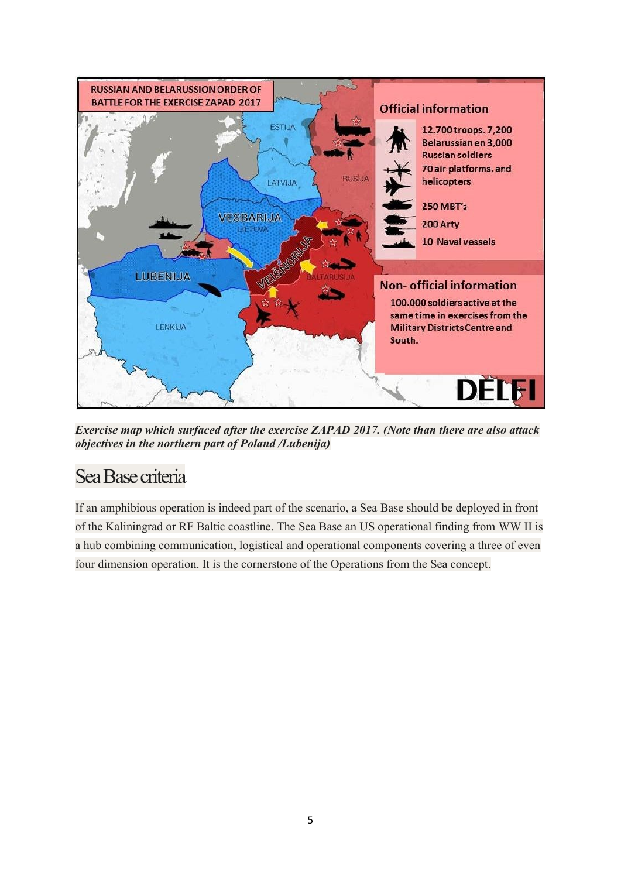

*Exercise map which surfaced after the exercise ZAPAD 2017. (Note than there are also attack objectives in the northern part of Poland /Lubenija)*

## SeaBase criteria

If an amphibious operation is indeed part of the scenario, a Sea Base should be deployed in front of the Kaliningrad or RF Baltic coastline. The Sea Base an US operational finding from WW II is a hub combining communication, logistical and operational components covering a three of even four dimension operation. It is the cornerstone of the Operations from the Sea concept.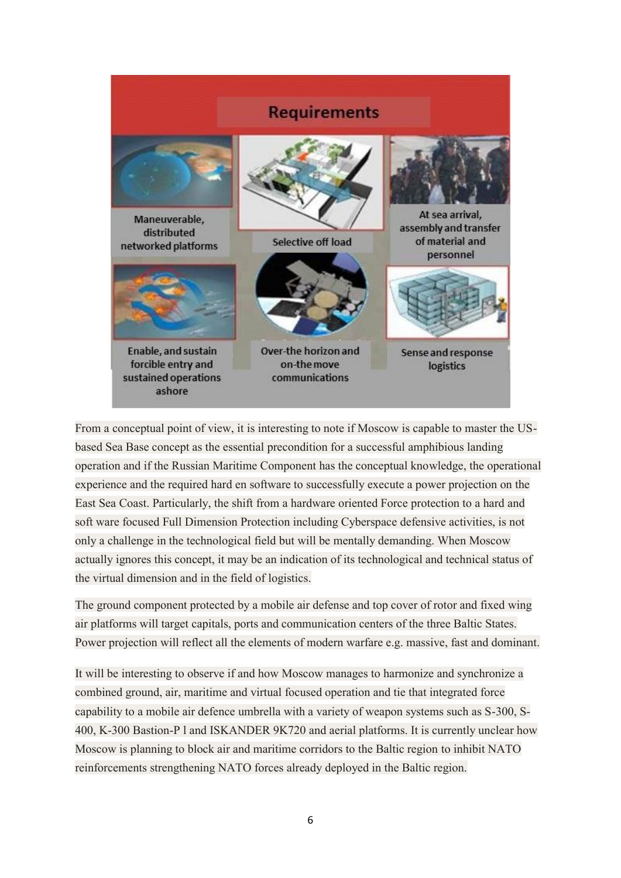

From a conceptual point of view, it is interesting to note if Moscow is capable to master the USbased Sea Base concept as the essential precondition for a successful amphibious landing operation and if the Russian Maritime Component has the conceptual knowledge, the operational experience and the required hard en software to successfully execute a power projection on the East Sea Coast. Particularly, the shift from a hardware oriented Force protection to a hard and soft ware focused Full Dimension Protection including Cyberspace defensive activities, is not only a challenge in the technological field but will be mentally demanding. When Moscow actually ignores this concept, it may be an indication of its technological and technical status of the virtual dimension and in the field of logistics.

The ground component protected by a mobile air defense and top cover of rotor and fixed wing air platforms will target capitals, ports and communication centers of the three Baltic States. Power projection will reflect all the elements of modern warfare e.g. massive, fast and dominant.

It will be interesting to observe if and how Moscow manages to harmonize and synchronize a combined ground, air, maritime and virtual focused operation and tie that integrated force capability to a mobile air defence umbrella with a variety of weapon systems such as S-300, S-400, K-300 Bastion-P l and ISKANDER 9K720 and aerial platforms. It is currently unclear how Moscow is planning to block air and maritime corridors to the Baltic region to inhibit NATO reinforcements strengthening NATO forces already deployed in the Baltic region.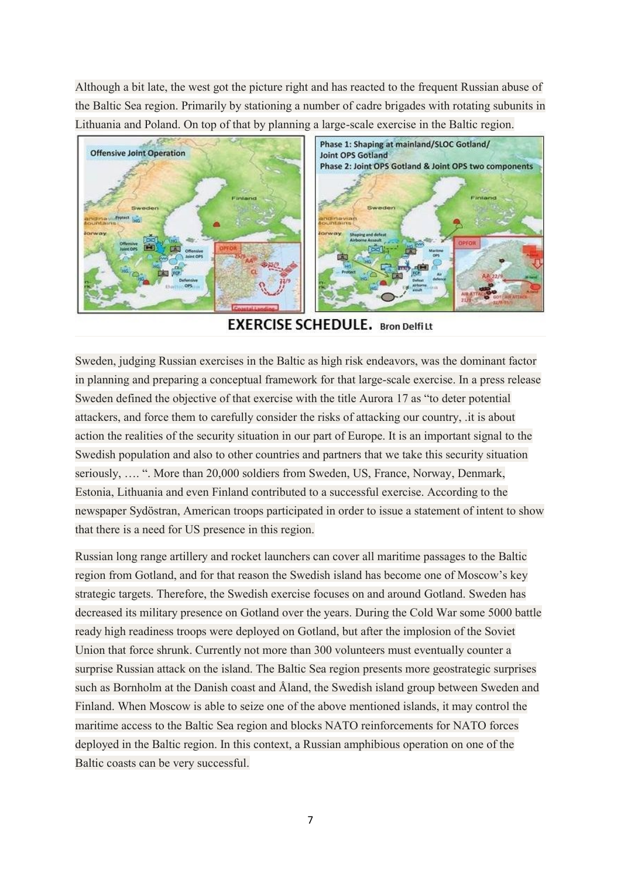Although a bit late, the west got the picture right and has reacted to the frequent Russian abuse of the Baltic Sea region. Primarily by stationing a number of cadre brigades with rotating subunits in Lithuania and Poland. On top of that by planning a large-scale exercise in the Baltic region.



**EXERCISE SCHEDULE.** Bron Delfilt

Sweden, judging Russian exercises in the Baltic as high risk endeavors, was the dominant factor in planning and preparing a conceptual framework for that large-scale exercise. In a press release Sweden defined the objective of that exercise with the title Aurora 17 as "to deter potential attackers, and force them to carefully consider the risks of attacking our country, .it is about action the realities of the security situation in our part of Europe. It is an important signal to the Swedish population and also to other countries and partners that we take this security situation seriously, …. ". More than 20,000 soldiers from Sweden, US, France, Norway, Denmark, Estonia, Lithuania and even Finland contributed to a successful exercise. According to the newspaper Sydöstran, American troops participated in order to issue a statement of intent to show that there is a need for US presence in this region.

Russian long range artillery and rocket launchers can cover all maritime passages to the Baltic region from Gotland, and for that reason the Swedish island has become one of Moscow's key strategic targets. Therefore, the Swedish exercise focuses on and around Gotland. Sweden has decreased its military presence on Gotland over the years. During the Cold War some 5000 battle ready high readiness troops were deployed on Gotland, but after the implosion of the Soviet Union that force shrunk. Currently not more than 300 volunteers must eventually counter a surprise Russian attack on the island. The Baltic Sea region presents more geostrategic surprises such as Bornholm at the Danish coast and Åland, the Swedish island group between Sweden and Finland. When Moscow is able to seize one of the above mentioned islands, it may control the maritime access to the Baltic Sea region and blocks NATO reinforcements for NATO forces deployed in the Baltic region. In this context, a Russian amphibious operation on one of the Baltic coasts can be very successful.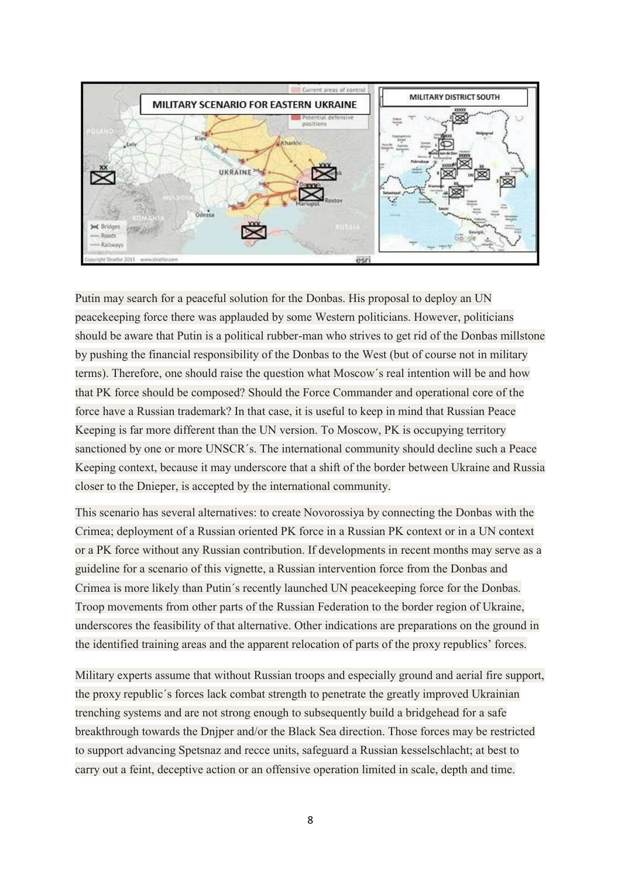

Putin may search for a peaceful solution for the Donbas. His proposal to deploy an UN peacekeeping force there was applauded by some Western politicians. However, politicians should be aware that Putin is a political rubber-man who strives to get rid of the Donbas millstone by pushing the financial responsibility of the Donbas to the West (but of course not in military terms). Therefore, one should raise the question what Moscow´s real intention will be and how that PK force should be composed? Should the Force Commander and operational core of the force have a Russian trademark? In that case, it is useful to keep in mind that Russian Peace Keeping is far more different than the UN version. To Moscow, PK is occupying territory sanctioned by one or more UNSCR´s. The international community should decline such a Peace Keeping context, because it may underscore that a shift of the border between Ukraine and Russia closer to the Dnieper, is accepted by the international community.

This scenario has several alternatives: to create Novorossiya by connecting the Donbas with the Crimea; deployment of a Russian oriented PK force in a Russian PK context or in a UN context or a PK force without any Russian contribution. If developments in recent months may serve as a guideline for a scenario of this vignette, a Russian intervention force from the Donbas and Crimea is more likely than Putin´s recently launched UN peacekeeping force for the Donbas. Troop movements from other parts of the Russian Federation to the border region of Ukraine, underscores the feasibility of that alternative. Other indications are preparations on the ground in the identified training areas and the apparent relocation of parts of the proxy republics' forces.

Military experts assume that without Russian troops and especially ground and aerial fire support, the proxy republic´s forces lack combat strength to penetrate the greatly improved Ukrainian trenching systems and are not strong enough to subsequently build a bridgehead for a safe breakthrough towards the Dnjper and/or the Black Sea direction. Those forces may be restricted to support advancing Spetsnaz and recce units, safeguard a Russian kesselschlacht; at best to carry out a feint, deceptive action or an offensive operation limited in scale, depth and time.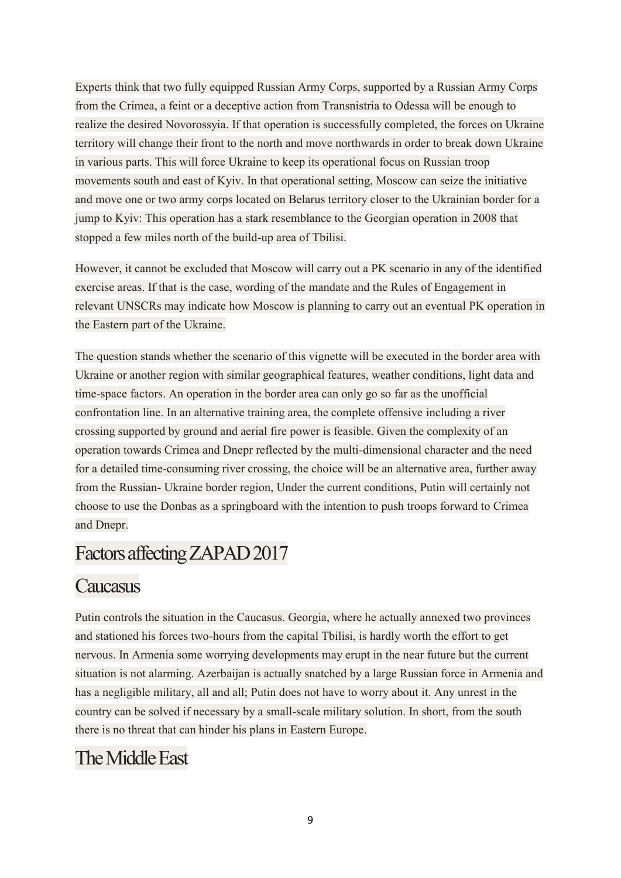Experts think that two fully equipped Russian Army Corps, supported by a Russian Army Corps from the Crimea, a feint or a deceptive action from Transnistria to Odessa will be enough to realize the desired Novorossyia. If that operation is successfully completed, the forces on Ukraine territory will change their front to the north and move northwards in order to break down Ukraine in various parts. This will force Ukraine to keep its operational focus on Russian troop movements south and east of Kyiv. In that operational setting, Moscow can seize the initiative and move one or two army corps located on Belarus territory closer to the Ukrainian border for a jump to Kyiv: This operation has a stark resemblance to the Georgian operation in 2008 that stopped a few miles north of the build-up area of Tbilisi.

However, it cannot be excluded that Moscow will carry out a PK scenario in any of the identified exercise areas. If that is the case, wording of the mandate and the Rules of Engagement in relevant UNSCRs may indicate how Moscow is planning to carry out an eventual PK operation in the Eastern part of the Ukraine.

The question stands whether the scenario of this vignette will be executed in the border area with Ukraine or another region with similar geographical features, weather conditions, light data and time-space factors. An operation in the border area can only go so far as the unofficial confrontation line. In an alternative training area, the complete offensive including a river crossing supported by ground and aerial fire power is feasible. Given the complexity of an operation towards Crimea and Dnepr reflected by the multi-dimensional character and the need for a detailed time-consuming river crossing, the choice will be an alternative area, further away from the Russian- Ukraine border region, Under the current conditions, Putin will certainly not choose to use the Donbas as a springboard with the intention to push troops forward to Crimea and Dnepr.

## Factors affecting ZAPAD 2017

### **Caucasus**

Putin controls the situation in the Caucasus. Georgia, where he actually annexed two provinces and stationed his forces two-hours from the capital Tbilisi, is hardly worth the effort to get nervous. In Armenia some worrying developments may erupt in the near future but the current situation is not alarming. Azerbaijan is actually snatched by a large Russian force in Armenia and has a negligible military, all and all; Putin does not have to worry about it. Any unrest in the country can be solved if necessary by a small-scale military solution. In short, from the south there is no threat that can hinder his plans in Eastern Europe.

## The Middle East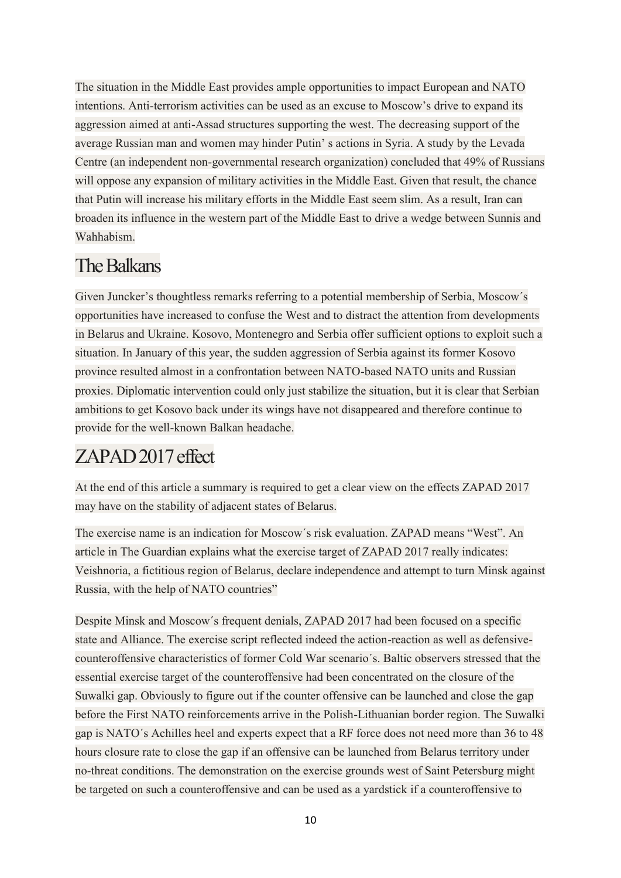The situation in the Middle East provides ample opportunities to impact European and NATO intentions. Anti-terrorism activities can be used as an excuse to Moscow's drive to expand its aggression aimed at anti-Assad structures supporting the west. The decreasing support of the average Russian man and women may hinder Putin' s actions in Syria. A study by the Levada Centre (an independent non-governmental research organization) concluded that 49% of Russians will oppose any expansion of military activities in the Middle East. Given that result, the chance that Putin will increase his military efforts in the Middle East seem slim. As a result, Iran can broaden its influence in the western part of the Middle East to drive a wedge between Sunnis and Wahhabism.

## The Balkans

Given Juncker's thoughtless remarks referring to a potential membership of Serbia, Moscow´s opportunities have increased to confuse the West and to distract the attention from developments in Belarus and Ukraine. Kosovo, Montenegro and Serbia offer sufficient options to exploit such a situation. In January of this year, the sudden aggression of Serbia against its former Kosovo province resulted almost in a confrontation between NATO-based NATO units and Russian proxies. Diplomatic intervention could only just stabilize the situation, but it is clear that Serbian ambitions to get Kosovo back under its wings have not disappeared and therefore continue to provide for the well-known Balkan headache.

## ZAPAD 2017 effect

At the end of this article a summary is required to get a clear view on the effects ZAPAD 2017 may have on the stability of adjacent states of Belarus.

The exercise name is an indication for Moscow´s risk evaluation. ZAPAD means "West". An article in The Guardian explains what the exercise target of ZAPAD 2017 really indicates: Veishnoria, a fictitious region of Belarus, declare independence and attempt to turn Minsk against Russia, with the help of NATO countries"

Despite Minsk and Moscow´s frequent denials, ZAPAD 2017 had been focused on a specific state and Alliance. The exercise script reflected indeed the action-reaction as well as defensivecounteroffensive characteristics of former Cold War scenario´s. Baltic observers stressed that the essential exercise target of the counteroffensive had been concentrated on the closure of the Suwalki gap. Obviously to figure out if the counter offensive can be launched and close the gap before the First NATO reinforcements arrive in the Polish-Lithuanian border region. The Suwalki gap is NATO´s Achilles heel and experts expect that a RF force does not need more than 36 to 48 hours closure rate to close the gap if an offensive can be launched from Belarus territory under no-threat conditions. The demonstration on the exercise grounds west of Saint Petersburg might be targeted on such a counteroffensive and can be used as a yardstick if a counteroffensive to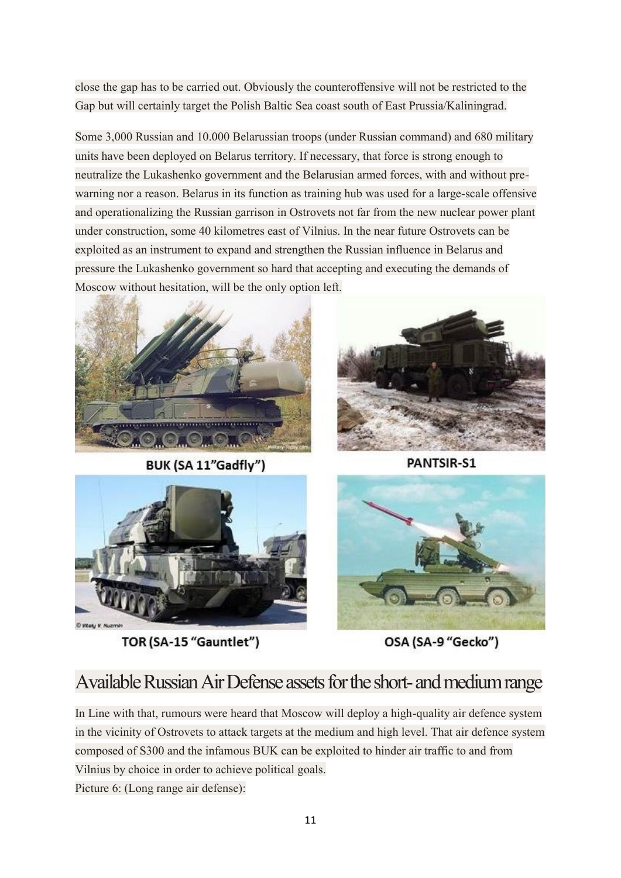close the gap has to be carried out. Obviously the counteroffensive will not be restricted to the Gap but will certainly target the Polish Baltic Sea coast south of East Prussia/Kaliningrad.

Some 3,000 Russian and 10.000 Belarussian troops (under Russian command) and 680 military units have been deployed on Belarus territory. If necessary, that force is strong enough to neutralize the Lukashenko government and the Belarusian armed forces, with and without prewarning nor a reason. Belarus in its function as training hub was used for a large-scale offensive and operationalizing the Russian garrison in Ostrovets not far from the new nuclear power plant under construction, some 40 kilometres east of Vilnius. In the near future Ostrovets can be exploited as an instrument to expand and strengthen the Russian influence in Belarus and pressure the Lukashenko government so hard that accepting and executing the demands of Moscow without hesitation, will be the only option left.



BUK (SA 11"Gadfly")



**PANTSIR-S1** 



TOR (SA-15 "Gauntlet")



OSA (SA-9 "Gecko")

## Available Russian Air Defense assets for the short-and medium range

In Line with that, rumours were heard that Moscow will deploy a high-quality air defence system in the vicinity of Ostrovets to attack targets at the medium and high level. That air defence system composed of S300 and the infamous BUK can be exploited to hinder air traffic to and from Vilnius by choice in order to achieve political goals. Picture 6: (Long range air defense):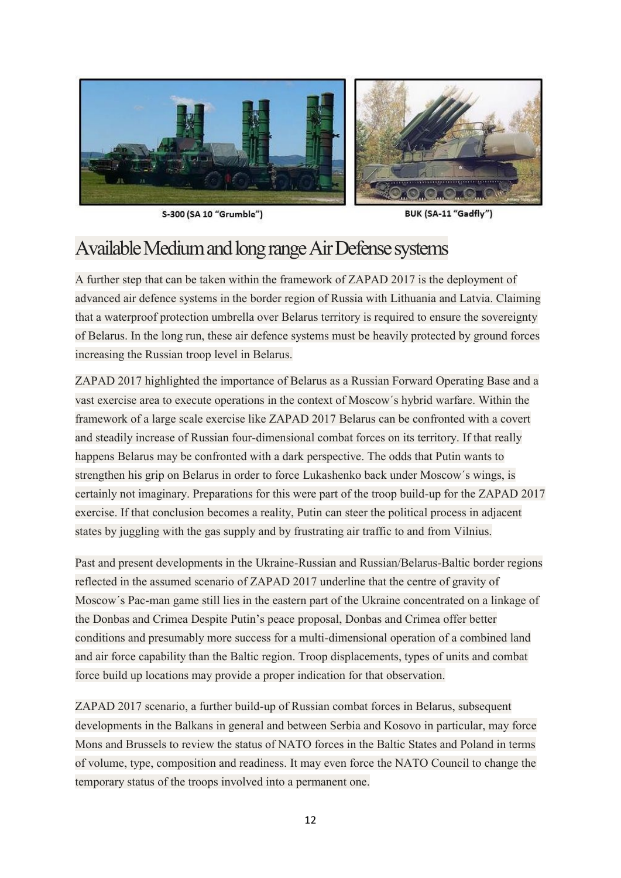

S-300 (SA 10 "Grumble")

BUK (SA-11 "Gadfly")

### Available Medium and long range Air Defense systems

A further step that can be taken within the framework of ZAPAD 2017 is the deployment of advanced air defence systems in the border region of Russia with Lithuania and Latvia. Claiming that a waterproof protection umbrella over Belarus territory is required to ensure the sovereignty of Belarus. In the long run, these air defence systems must be heavily protected by ground forces increasing the Russian troop level in Belarus.

ZAPAD 2017 highlighted the importance of Belarus as a Russian Forward Operating Base and a vast exercise area to execute operations in the context of Moscow´s hybrid warfare. Within the framework of a large scale exercise like ZAPAD 2017 Belarus can be confronted with a covert and steadily increase of Russian four-dimensional combat forces on its territory. If that really happens Belarus may be confronted with a dark perspective. The odds that Putin wants to strengthen his grip on Belarus in order to force Lukashenko back under Moscow´s wings, is certainly not imaginary. Preparations for this were part of the troop build-up for the ZAPAD 2017 exercise. If that conclusion becomes a reality, Putin can steer the political process in adjacent states by juggling with the gas supply and by frustrating air traffic to and from Vilnius.

Past and present developments in the Ukraine-Russian and Russian/Belarus-Baltic border regions reflected in the assumed scenario of ZAPAD 2017 underline that the centre of gravity of Moscow´s Pac-man game still lies in the eastern part of the Ukraine concentrated on a linkage of the Donbas and Crimea Despite Putin's peace proposal, Donbas and Crimea offer better conditions and presumably more success for a multi-dimensional operation of a combined land and air force capability than the Baltic region. Troop displacements, types of units and combat force build up locations may provide a proper indication for that observation.

ZAPAD 2017 scenario, a further build-up of Russian combat forces in Belarus, subsequent developments in the Balkans in general and between Serbia and Kosovo in particular, may force Mons and Brussels to review the status of NATO forces in the Baltic States and Poland in terms of volume, type, composition and readiness. It may even force the NATO Council to change the temporary status of the troops involved into a permanent one.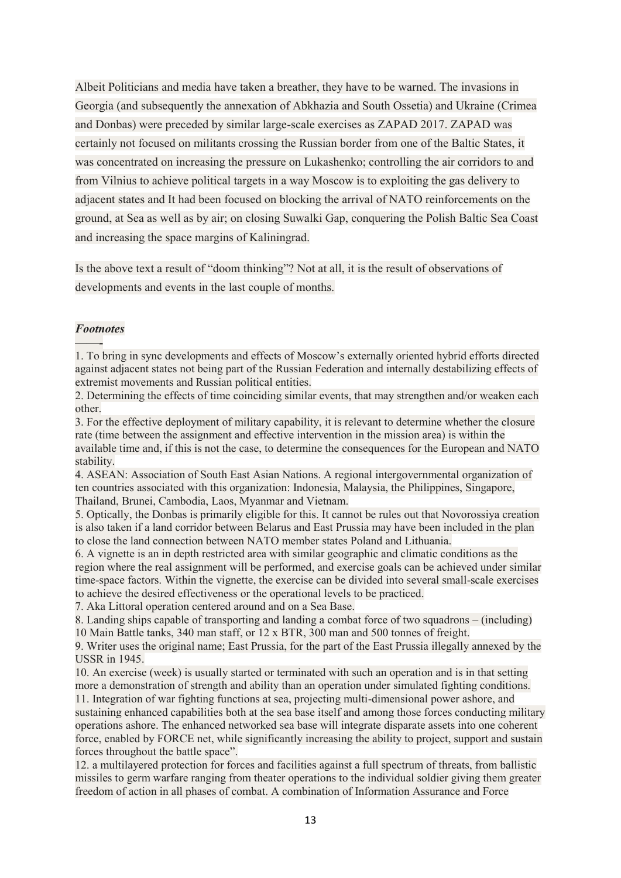Albeit Politicians and media have taken a breather, they have to be warned. The invasions in Georgia (and subsequently the annexation of Abkhazia and South Ossetia) and Ukraine (Crimea and Donbas) were preceded by similar large-scale exercises as ZAPAD 2017. ZAPAD was certainly not focused on militants crossing the Russian border from one of the Baltic States, it was concentrated on increasing the pressure on Lukashenko; controlling the air corridors to and from Vilnius to achieve political targets in a way Moscow is to exploiting the gas delivery to adjacent states and It had been focused on blocking the arrival of NATO reinforcements on the ground, at Sea as well as by air; on closing Suwalki Gap, conquering the Polish Baltic Sea Coast and increasing the space margins of Kaliningrad.

Is the above text a result of "doom thinking"? Not at all, it is the result of observations of developments and events in the last couple of months.

#### *Footnotes*

**——-** 1. To bring in sync developments and effects of Moscow's externally oriented hybrid efforts directed against adjacent states not being part of the Russian Federation and internally destabilizing effects of extremist movements and Russian political entities.

2. Determining the effects of time coinciding similar events, that may strengthen and/or weaken each other.

3. For the effective deployment of military capability, it is relevant to determine whether the closure rate (time between the assignment and effective intervention in the mission area) is within the available time and, if this is not the case, to determine the consequences for the European and NATO stability.

4. ASEAN: Association of South East Asian Nations. A regional intergovernmental organization of ten countries associated with this organization: Indonesia, Malaysia, the Philippines, Singapore, Thailand, Brunei, Cambodia, Laos, Myanmar and Vietnam.

5. Optically, the Donbas is primarily eligible for this. It cannot be rules out that Novorossiya creation is also taken if a land corridor between Belarus and East Prussia may have been included in the plan to close the land connection between NATO member states Poland and Lithuania.

6. A vignette is an in depth restricted area with similar geographic and climatic conditions as the region where the real assignment will be performed, and exercise goals can be achieved under similar time-space factors. Within the vignette, the exercise can be divided into several small-scale exercises to achieve the desired effectiveness or the operational levels to be practiced.

7. Aka Littoral operation centered around and on a Sea Base.

8. Landing ships capable of transporting and landing a combat force of two squadrons – (including) 10 Main Battle tanks, 340 man staff, or 12 x BTR, 300 man and 500 tonnes of freight.

9. Writer uses the original name; East Prussia, for the part of the East Prussia illegally annexed by the USSR in 1945.

10. An exercise (week) is usually started or terminated with such an operation and is in that setting more a demonstration of strength and ability than an operation under simulated fighting conditions.

11. Integration of war fighting functions at sea, projecting multi-dimensional power ashore, and sustaining enhanced capabilities both at the sea base itself and among those forces conducting military operations ashore. The enhanced networked sea base will integrate disparate assets into one coherent force, enabled by FORCE net, while significantly increasing the ability to project, support and sustain forces throughout the battle space".

12. a multilayered protection for forces and facilities against a full spectrum of threats, from ballistic missiles to germ warfare ranging from theater operations to the individual soldier giving them greater freedom of action in all phases of combat. A combination of Information Assurance and Force